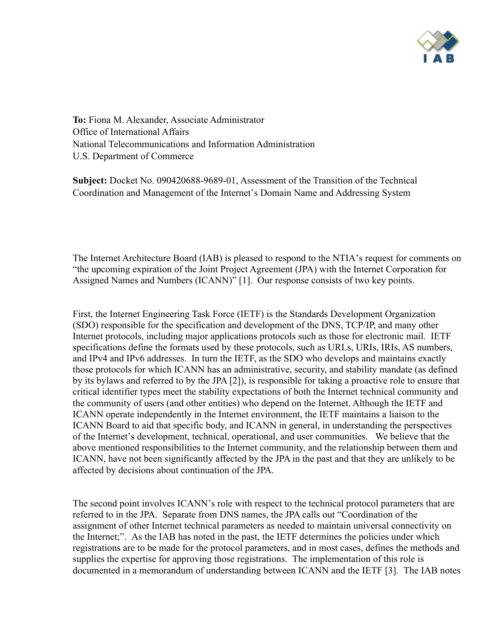

To: Fiona M. Alexander, Associate Administrator Office of International Affairs National Telecommunications and Information Administration U.S. Department of Commerce

Subject: Docket No. 090420688-9689-01, Assessment of the Transition of the Technical Coordination and Management of the Internet's Domain Name and Addressing System

The Internet Architecture Board (IAB) is pleased to respond to the NTIA's request for comments on "the upcoming expiration of the Joint Project Agreement (JPA) with the Internet Corporation for Assigned Names and Numbers (ICANN)" [1]. Our response consists of two key points.

First, the Internet Engineering Task Force (IETF) is the Standards Development Organization (SDO) responsible for the specification and development of the DNS, TCP/IP, and many other Internet protocols, including major applications protocols such as those for electronic mail. IETF specifications define the formats used by these protocols, such as URLs, URIs, IRIs, AS numbers, and IPv4 and IPv6 addresses. In turn the IETF, as the SDO who develops and maintains exactly those protocols for which ICANN has an administrative, security, and stability mandate (as defined by its bylaws and referred to by the JPA [2]), is responsible for taking a proactive role to ensure that critical identifier types meet the stability expectations of both the Internet technical community and the community of users (and other entities) who depend on the Internet. Although the IETF and ICANN operate independently in the Internet environment, the IETF maintains a liaison to the ICANN Board to aid that specific body, and ICANN in general, in understanding the perspectives of the Internet's development, technical, operational, and user communities. We believe that the above mentioned responsibilities to the Internet community, and the relationship between them and ICANN, have not been significantly affected by the JPA in the past and that they are unlikely to be affected by decisions about continuation of the JPA.

The second point involves ICANN's role with respect to the technical protocol parameters that are referred to in the JPA. Separate from DNS names, the JPA calls out "Coordination of the assignment of other Internet technical parameters as needed to maintain universal connectivity on the Internet;". As the IAB has noted in the past, the IETF determines the policies under which registrations are to be made for the protocol parameters, and in most cases, defines the methods and supplies the expertise for approving those registrations. The implementation of this role is documented in a memorandum of understanding between ICANN and the IETF [3]. The IAB notes